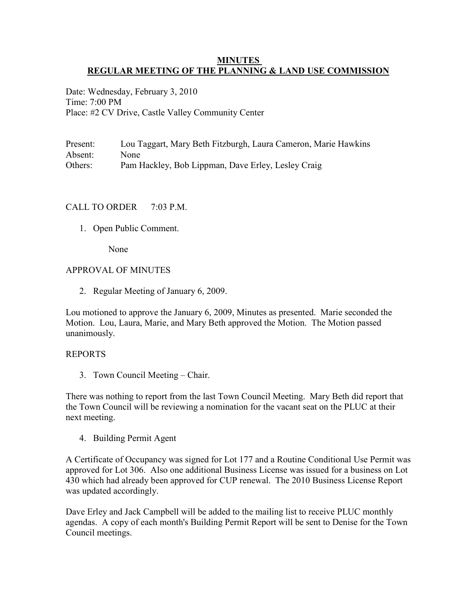### **MINUTES REGULAR MEETING OF THE PLANNING & LAND USE COMMISSION**

Date: Wednesday, February 3, 2010 Time: 7:00 PM Place: #2 CV Drive, Castle Valley Community Center

Present: Lou Taggart, Mary Beth Fitzburgh, Laura Cameron, Marie Hawkins Absent: None Others: Pam Hackley, Bob Lippman, Dave Erley, Lesley Craig

## CALL TO ORDER  $7.03$  PM

1. Open Public Comment.

None

#### APPROVAL OF MINUTES

2. Regular Meeting of January 6, 2009.

Lou motioned to approve the January 6, 2009, Minutes as presented. Marie seconded the Motion. Lou, Laura, Marie, and Mary Beth approved the Motion. The Motion passed unanimously.

#### REPORTS

3. Town Council Meeting – Chair.

There was nothing to report from the last Town Council Meeting. Mary Beth did report that the Town Council will be reviewing a nomination for the vacant seat on the PLUC at their next meeting.

4. Building Permit Agent

A Certificate of Occupancy was signed for Lot 177 and a Routine Conditional Use Permit was approved for Lot 306. Also one additional Business License was issued for a business on Lot 430 which had already been approved for CUP renewal. The 2010 Business License Report was updated accordingly.

Dave Erley and Jack Campbell will be added to the mailing list to receive PLUC monthly agendas. A copy of each month's Building Permit Report will be sent to Denise for the Town Council meetings.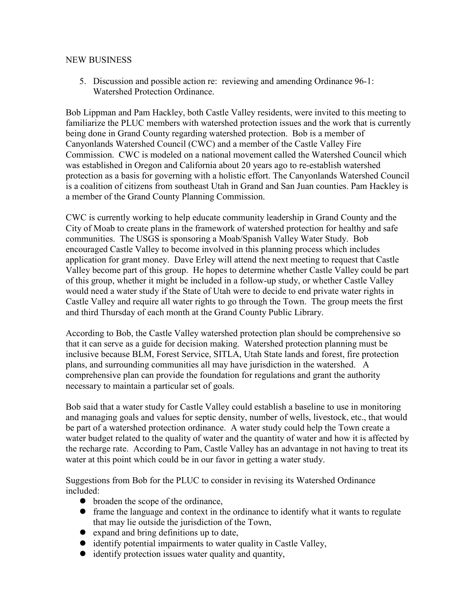#### NEW BUSINESS

5. Discussion and possible action re: reviewing and amending Ordinance 96-1: Watershed Protection Ordinance.

Bob Lippman and Pam Hackley, both Castle Valley residents, were invited to this meeting to familiarize the PLUC members with watershed protection issues and the work that is currently being done in Grand County regarding watershed protection. Bob is a member of Canyonlands Watershed Council (CWC) and a member of the Castle Valley Fire Commission. CWC is modeled on a national movement called the Watershed Council which was established in Oregon and California about 20 years ago to re-establish watershed protection as a basis for governing with a holistic effort. The Canyonlands Watershed Council is a coalition of citizens from southeast Utah in Grand and San Juan counties. Pam Hackley is a member of the Grand County Planning Commission.

CWC is currently working to help educate community leadership in Grand County and the City of Moab to create plans in the framework of watershed protection for healthy and safe communities. The USGS is sponsoring a Moab/Spanish Valley Water Study. Bob encouraged Castle Valley to become involved in this planning process which includes application for grant money. Dave Erley will attend the next meeting to request that Castle Valley become part of this group. He hopes to determine whether Castle Valley could be part of this group, whether it might be included in a follow-up study, or whether Castle Valley would need a water study if the State of Utah were to decide to end private water rights in Castle Valley and require all water rights to go through the Town. The group meets the first and third Thursday of each month at the Grand County Public Library.

According to Bob, the Castle Valley watershed protection plan should be comprehensive so that it can serve as a guide for decision making. Watershed protection planning must be inclusive because BLM, Forest Service, SITLA, Utah State lands and forest, fire protection plans, and surrounding communities all may have jurisdiction in the watershed. A comprehensive plan can provide the foundation for regulations and grant the authority necessary to maintain a particular set of goals.

Bob said that a water study for Castle Valley could establish a baseline to use in monitoring and managing goals and values for septic density, number of wells, livestock, etc., that would be part of a watershed protection ordinance. A water study could help the Town create a water budget related to the quality of water and the quantity of water and how it is affected by the recharge rate. According to Pam, Castle Valley has an advantage in not having to treat its water at this point which could be in our favor in getting a water study.

Suggestions from Bob for the PLUC to consider in revising its Watershed Ordinance included:

- broaden the scope of the ordinance,
- frame the language and context in the ordinance to identify what it wants to regulate that may lie outside the jurisdiction of the Town,
- expand and bring definitions up to date,
- identify potential impairments to water quality in Castle Valley,
- identify protection issues water quality and quantity,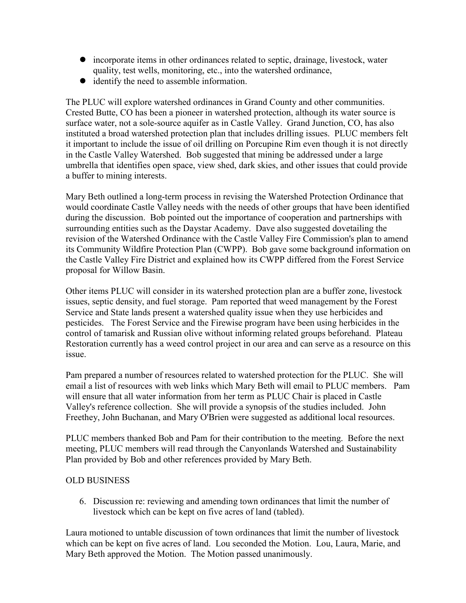- incorporate items in other ordinances related to septic, drainage, livestock, water quality, test wells, monitoring, etc., into the watershed ordinance,
- identify the need to assemble information.

The PLUC will explore watershed ordinances in Grand County and other communities. Crested Butte, CO has been a pioneer in watershed protection, although its water source is surface water, not a sole-source aquifer as in Castle Valley. Grand Junction, CO, has also instituted a broad watershed protection plan that includes drilling issues. PLUC members felt it important to include the issue of oil drilling on Porcupine Rim even though it is not directly in the Castle Valley Watershed. Bob suggested that mining be addressed under a large umbrella that identifies open space, view shed, dark skies, and other issues that could provide a buffer to mining interests.

Mary Beth outlined a long-term process in revising the Watershed Protection Ordinance that would coordinate Castle Valley needs with the needs of other groups that have been identified during the discussion. Bob pointed out the importance of cooperation and partnerships with surrounding entities such as the Daystar Academy. Dave also suggested dovetailing the revision of the Watershed Ordinance with the Castle Valley Fire Commission's plan to amend its Community Wildfire Protection Plan (CWPP). Bob gave some background information on the Castle Valley Fire District and explained how its CWPP differed from the Forest Service proposal for Willow Basin.

Other items PLUC will consider in its watershed protection plan are a buffer zone, livestock issues, septic density, and fuel storage. Pam reported that weed management by the Forest Service and State lands present a watershed quality issue when they use herbicides and pesticides. The Forest Service and the Firewise program have been using herbicides in the control of tamarisk and Russian olive without informing related groups beforehand. Plateau Restoration currently has a weed control project in our area and can serve as a resource on this issue.

Pam prepared a number of resources related to watershed protection for the PLUC. She will email a list of resources with web links which Mary Beth will email to PLUC members. Pam will ensure that all water information from her term as PLUC Chair is placed in Castle Valley's reference collection. She will provide a synopsis of the studies included. John Freethey, John Buchanan, and Mary O'Brien were suggested as additional local resources.

PLUC members thanked Bob and Pam for their contribution to the meeting. Before the next meeting, PLUC members will read through the Canyonlands Watershed and Sustainability Plan provided by Bob and other references provided by Mary Beth.

# OLD BUSINESS

6. Discussion re: reviewing and amending town ordinances that limit the number of livestock which can be kept on five acres of land (tabled).

Laura motioned to untable discussion of town ordinances that limit the number of livestock which can be kept on five acres of land. Lou seconded the Motion. Lou, Laura, Marie, and Mary Beth approved the Motion. The Motion passed unanimously.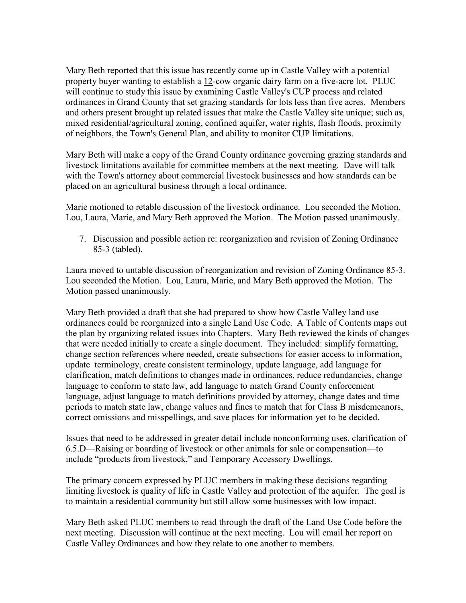Mary Beth reported that this issue has recently come up in Castle Valley with a potential property buyer wanting to establish a 12-cow organic dairy farm on a five-acre lot. PLUC will continue to study this issue by examining Castle Valley's CUP process and related ordinances in Grand County that set grazing standards for lots less than five acres. Members and others present brought up related issues that make the Castle Valley site unique; such as, mixed residential/agricultural zoning, confined aquifer, water rights, flash floods, proximity of neighbors, the Town's General Plan, and ability to monitor CUP limitations.

Mary Beth will make a copy of the Grand County ordinance governing grazing standards and livestock limitations available for committee members at the next meeting. Dave will talk with the Town's attorney about commercial livestock businesses and how standards can be placed on an agricultural business through a local ordinance.

Marie motioned to retable discussion of the livestock ordinance. Lou seconded the Motion. Lou, Laura, Marie, and Mary Beth approved the Motion. The Motion passed unanimously.

7. Discussion and possible action re: reorganization and revision of Zoning Ordinance 85-3 (tabled).

Laura moved to untable discussion of reorganization and revision of Zoning Ordinance 85-3. Lou seconded the Motion. Lou, Laura, Marie, and Mary Beth approved the Motion. The Motion passed unanimously.

Mary Beth provided a draft that she had prepared to show how Castle Valley land use ordinances could be reorganized into a single Land Use Code. A Table of Contents maps out the plan by organizing related issues into Chapters. Mary Beth reviewed the kinds of changes that were needed initially to create a single document. They included: simplify formatting, change section references where needed, create subsections for easier access to information, update terminology, create consistent terminology, update language, add language for clarification, match definitions to changes made in ordinances, reduce redundancies, change language to conform to state law, add language to match Grand County enforcement language, adjust language to match definitions provided by attorney, change dates and time periods to match state law, change values and fines to match that for Class B misdemeanors, correct omissions and misspellings, and save places for information yet to be decided.

Issues that need to be addressed in greater detail include nonconforming uses, clarification of 6.5.D—Raising or boarding of livestock or other animals for sale or compensation—to include "products from livestock," and Temporary Accessory Dwellings.

The primary concern expressed by PLUC members in making these decisions regarding limiting livestock is quality of life in Castle Valley and protection of the aquifer. The goal is to maintain a residential community but still allow some businesses with low impact.

Mary Beth asked PLUC members to read through the draft of the Land Use Code before the next meeting. Discussion will continue at the next meeting. Lou will email her report on Castle Valley Ordinances and how they relate to one another to members.